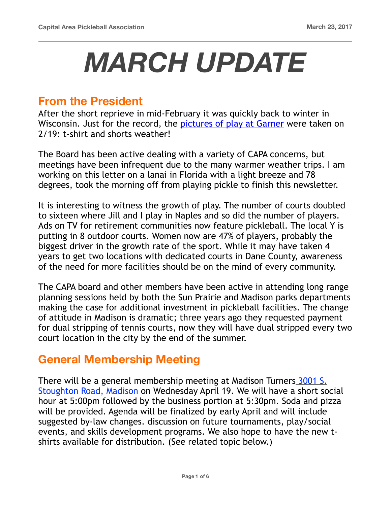# *MARCH UPDATE*

## **From the President**

After the short reprieve in mid-February it was quickly back to winter in Wisconsin. Just for the record, the [pictures of play at Garner](https://www.capareapb.com/feb-outdoor-play-photos) were taken on 2/19: t-shirt and shorts weather!

The Board has been active dealing with a variety of CAPA concerns, but meetings have been infrequent due to the many warmer weather trips. I am working on this letter on a lanai in Florida with a light breeze and 78 degrees, took the morning off from playing pickle to finish this newsletter.

It is interesting to witness the growth of play. The number of courts doubled to sixteen where Jill and I play in Naples and so did the number of players. Ads on TV for retirement communities now feature pickleball. The local Y is putting in 8 outdoor courts. Women now are 47% of players, probably the biggest driver in the growth rate of the sport. While it may have taken 4 years to get two locations with dedicated courts in Dane County, awareness of the need for more facilities should be on the mind of every community.

The CAPA board and other members have been active in attending long range planning sessions held by both the Sun Prairie and Madison parks departments making the case for additional investment in pickleball facilities. The change of attitude in Madison is dramatic; three years ago they requested payment for dual stripping of tennis courts, now they will have dual stripped every two court location in the city by the end of the summer.

# **General Membership Meeting**

There will be a general membership meeting at Madison Turners [3001 S.](https://www.madisonturners.com/contact-us/)  [Stoughton Road, Madison](https://www.madisonturners.com/contact-us/) on Wednesday April 19. We will have a short social hour at 5:00pm followed by the business portion at 5:30pm. Soda and pizza will be provided. Agenda will be finalized by early April and will include suggested by-law changes. discussion on future tournaments, play/social events, and skills development programs. We also hope to have the new tshirts available for distribution. (See related topic below.)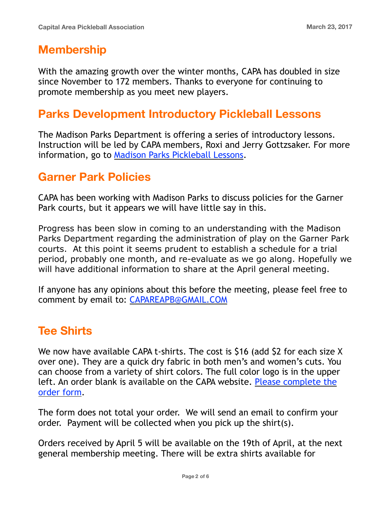# **Membership**

With the amazing growth over the winter months, CAPA has doubled in size since November to 172 members. Thanks to everyone for continuing to promote membership as you meet new players.

# **Parks Development Introductory Pickleball Lessons**

The Madison Parks Department is offering a series of introductory lessons. Instruction will be led by CAPA members, Roxi and Jerry Gottzsaker. For more information, go to [Madison Parks Pickleball Lessons](http://www.cityofmadison.com/parks/events/pickleball.cfm).

# **Garner Park Policies**

CAPA has been working with Madison Parks to discuss policies for the Garner Park courts, but it appears we will have little say in this.

Progress has been slow in coming to an understanding with the Madison Parks Department regarding the administration of play on the Garner Park courts. At this point it seems prudent to establish a schedule for a trial period, probably one month, and re-evaluate as we go along. Hopefully we will have additional information to share at the April general meeting.

If anyone has any opinions about this before the meeting, please feel free to comment by email to: [CAPAREAPB@GMAIL.COM](mailto:CAPAREAPB@GMAIL.COM)

# **Tee Shirts**

We now have available CAPA t-shirts. The cost is \$16 (add \$2 for each size X over one). They are a quick dry fabric in both men's and women's cuts. You can choose from a variety of shirt colors. The full color logo is in the upper left. An order blank is available on the CAPA website. [Please complete the](https://goo.gl/forms/D5tBcD2k8p5hrsF12)  [order form.](https://goo.gl/forms/D5tBcD2k8p5hrsF12)

The form does not total your order. We will send an email to confirm your order. Payment will be collected when you pick up the shirt(s).

Orders received by April 5 will be available on the 19th of April, at the next general membership meeting. There will be extra shirts available for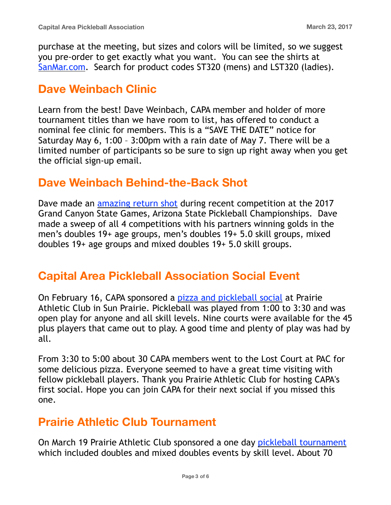purchase at the meeting, but sizes and colors will be limited, so we suggest you pre-order to get exactly what you want. You can see the shirts at [SanMar.com.](http://SanMar.com) Search for product codes ST320 (mens) and LST320 (ladies).

# **Dave Weinbach Clinic**

Learn from the best! Dave Weinbach, CAPA member and holder of more tournament titles than we have room to list, has offered to conduct a nominal fee clinic for members. This is a "SAVE THE DATE" notice for Saturday May 6, 1:00 – 3:00pm with a rain date of May 7. There will be a limited number of participants so be sure to sign up right away when you get the official sign-up email.

# **Dave Weinbach Behind-the-Back Shot**

Dave made an [amazing return shot](https://www.youtube.com/watch?v=aE8W-qGaqNI&inf_contact_key=31455b5ee6080ea42424e33ab0961fb175897532def1d35738776bb64188ee89) during recent competition at the 2017 Grand Canyon State Games, Arizona State Pickleball Championships. Dave made a sweep of all 4 competitions with his partners winning golds in the men's doubles 19+ age groups, men's doubles 19+ 5.0 skill groups, mixed doubles 19+ age groups and mixed doubles 19+ 5.0 skill groups.

# **Capital Area Pickleball Association Social Event**

On February 16, CAPA sponsored a [pizza and pickleball social](https://www.capareapb.com/social-event-photos) at Prairie Athletic Club in Sun Prairie. Pickleball was played from 1:00 to 3:30 and was open play for anyone and all skill levels. Nine courts were available for the 45 plus players that came out to play. A good time and plenty of play was had by all.

From 3:30 to 5:00 about 30 CAPA members went to the Lost Court at PAC for some delicious pizza. Everyone seemed to have a great time visiting with fellow pickleball players. Thank you Prairie Athletic Club for hosting CAPA's first social. Hope you can join CAPA for their next social if you missed this one.

# **Prairie Athletic Club Tournament**

On March 19 Prairie Athletic Club sponsored a one day [pickleball tournament](https://www.capareapb.com/pac-tournament-photos) which included doubles and mixed doubles events by skill level. About 70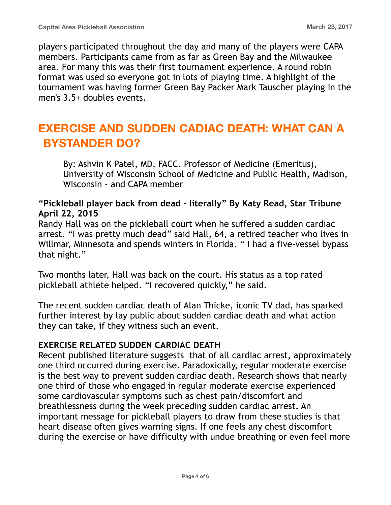players participated throughout the day and many of the players were CAPA members. Participants came from as far as Green Bay and the Milwaukee area. For many this was their first tournament experience. A round robin format was used so everyone got in lots of playing time. A highlight of the tournament was having former Green Bay Packer Mark Tauscher playing in the men's 3.5+ doubles events.

# **EXERCISE AND SUDDEN CADIAC DEATH: WHAT CAN A BYSTANDER DO?**

By: Ashvin K Patel, MD, FACC. Professor of Medicine (Emeritus), University of Wisconsin School of Medicine and Public Health, Madison, Wisconsin - and CAPA member

## **"Pickleball player back from dead - literally" By Katy Read, Star Tribune April 22, 2015**

Randy Hall was on the pickleball court when he suffered a sudden cardiac arrest. "I was pretty much dead" said Hall, 64, a retired teacher who lives in Willmar, Minnesota and spends winters in Florida. " I had a five-vessel bypass that night."

Two months later, Hall was back on the court. His status as a top rated pickleball athlete helped. "I recovered quickly," he said.

The recent sudden cardiac death of Alan Thicke, iconic TV dad, has sparked further interest by lay public about sudden cardiac death and what action they can take, if they witness such an event.

## **EXERCISE RELATED SUDDEN CARDIAC DEATH**

Recent published literature suggests that of all cardiac arrest, approximately one third occurred during exercise. Paradoxically, regular moderate exercise is the best way to prevent sudden cardiac death. Research shows that nearly one third of those who engaged in regular moderate exercise experienced some cardiovascular symptoms such as chest pain/discomfort and breathlessness during the week preceding sudden cardiac arrest. An important message for pickleball players to draw from these studies is that heart disease often gives warning signs. If one feels any chest discomfort during the exercise or have difficulty with undue breathing or even feel more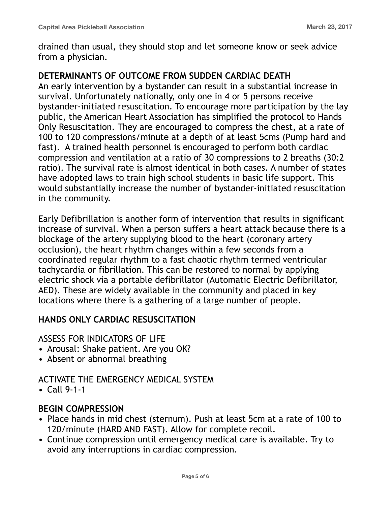drained than usual, they should stop and let someone know or seek advice from a physician.

## **DETERMINANTS OF OUTCOME FROM SUDDEN CARDIAC DEATH**

An early intervention by a bystander can result in a substantial increase in survival. Unfortunately nationally, only one in 4 or 5 persons receive bystander-initiated resuscitation. To encourage more participation by the lay public, the American Heart Association has simplified the protocol to Hands Only Resuscitation. They are encouraged to compress the chest, at a rate of 100 to 120 compressions/minute at a depth of at least 5cms (Pump hard and fast). A trained health personnel is encouraged to perform both cardiac compression and ventilation at a ratio of 30 compressions to 2 breaths (30:2 ratio). The survival rate is almost identical in both cases. A number of states have adopted laws to train high school students in basic life support. This would substantially increase the number of bystander-initiated resuscitation in the community.

Early Defibrillation is another form of intervention that results in significant increase of survival. When a person suffers a heart attack because there is a blockage of the artery supplying blood to the heart (coronary artery occlusion), the heart rhythm changes within a few seconds from a coordinated regular rhythm to a fast chaotic rhythm termed ventricular tachycardia or fibrillation. This can be restored to normal by applying electric shock via a portable defibrillator (Automatic Electric Defibrillator, AED). These are widely available in the community and placed in key locations where there is a gathering of a large number of people.

## **HANDS ONLY CARDIAC RESUSCITATION**

ASSESS FOR INDICATORS OF LIFE

- Arousal: Shake patient. Are you OK?
- Absent or abnormal breathing

## ACTIVATE THE EMERGENCY MEDICAL SYSTEM

• Call 9-1-1

## **BEGIN COMPRESSION**

- Place hands in mid chest (sternum). Push at least 5cm at a rate of 100 to 120/minute (HARD AND FAST). Allow for complete recoil.
- Continue compression until emergency medical care is available. Try to avoid any interruptions in cardiac compression.